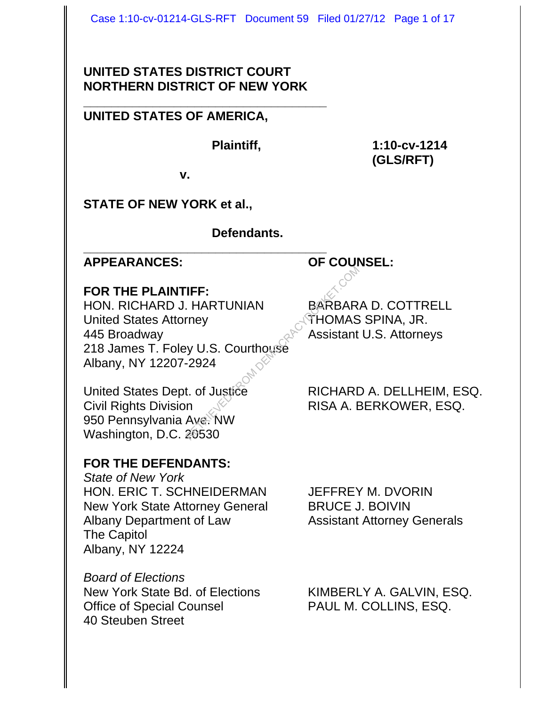#### **UNITED STATES DISTRICT COURT NORTHERN DISTRICT OF NEW YORK**

#### **\_\_\_\_\_\_\_\_\_\_\_\_\_\_\_\_\_\_\_\_\_\_\_\_\_\_\_\_\_\_\_\_\_\_\_ UNITED STATES OF AMERICA,**

**Plaintiff, 1:10-cv-1214 (GLS/RFT)**

**v.**

## **STATE OF NEW YORK et al.,**

#### **Defendants.**

# **APPEARANCES: OF COUNSEL:**

#### **FOR THE PLAINTIFF:**

HON. RICHARD J. HARTUNIAN BARBARA D. COTTRELL United States Attorney **THOMAS SPINA, JR.** 445 Broadway Assistant U.S. Attorneys 218 James T. Foley U.S. Courthouse Albany, NY 12207-2924 THERETRIEVED THERE<br>
RETRIEVED FROM DEMOCRACY<br>
RETRIEVED FROM ASSISTANT<br>
RETRIEVED FROM DEMOCRACY<br>
THOMAS<br>
PANGE TO RICHARD<br>
RETRIEVED FROM THE RISA A. E<br>
ANGE NW<br>
PANGE TO RISA A. E

**\_\_\_\_\_\_\_\_\_\_\_\_\_\_\_\_\_\_\_\_\_\_\_\_\_\_\_\_\_\_\_\_\_\_\_**

Civil Rights Division  $\mathbb{R}^{\mathbb{C}}$  RISA A. BERKOWER, ESQ. 950 Pennsylvania Ave. NW Washington, D.C. 20530

## **FOR THE DEFENDANTS:**

*State of New York* HON. ERIC T. SCHNEIDERMAN JEFFREY M. DVORIN New York State Attorney General BRUCE J. BOIVIN Albany Department of Law Assistant Attorney Generals The Capitol Albany, NY 12224

*Board of Elections* New York State Bd. of Elections KIMBERLY A. GALVIN, ESQ. Office of Special Counsel PAUL M. COLLINS, ESQ. 40 Steuben Street

United States Dept. of Justice RICHARD A. DELLHEIM, ESQ.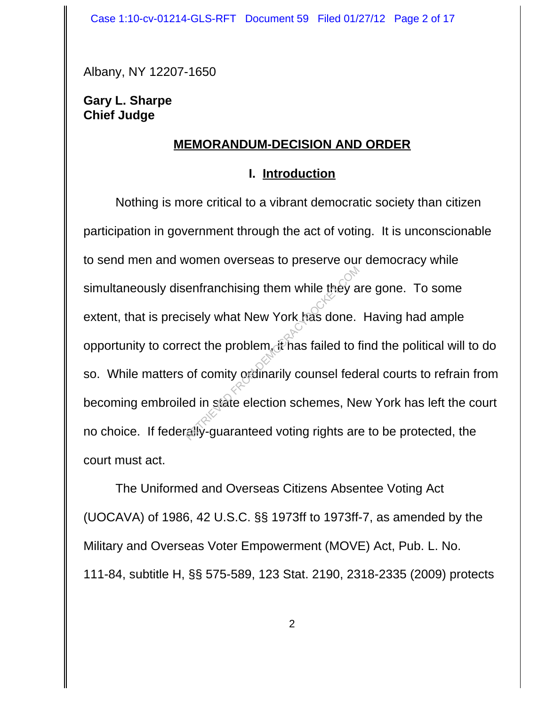Albany, NY 12207-1650

#### **Gary L. Sharpe Chief Judge**

#### **MEMORANDUM-DECISION AND ORDER**

#### **I. Introduction**

Nothing is more critical to a vibrant democratic society than citizen participation in government through the act of voting. It is unconscionable to send men and women overseas to preserve our democracy while simultaneously disenfranchising them while they are gone. To some extent, that is precisely what New York has done. Having had ample opportunity to correct the problem, it has failed to find the political will to do so. While matters of comity ordinarily counsel federal courts to refrain from becoming embroiled in state election schemes, New York has left the court no choice. If federally-guaranteed voting rights are to be protected, the court must act. enfranchising them while they a<br>isely what New York has done.<br>ect the problem, it has failed to t<br>of comity ordinarily counsel federed<br>and in state election schemes, Ne

The Uniformed and Overseas Citizens Absentee Voting Act (UOCAVA) of 1986, 42 U.S.C. §§ 1973ff to 1973ff-7, as amended by the Military and Overseas Voter Empowerment (MOVE) Act, Pub. L. No. 111-84, subtitle H, §§ 575-589, 123 Stat. 2190, 2318-2335 (2009) protects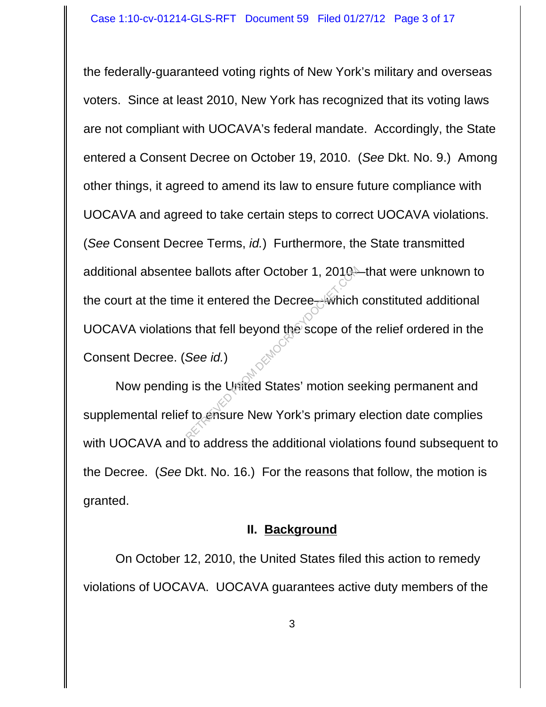the federally-guaranteed voting rights of New York's military and overseas voters. Since at least 2010, New York has recognized that its voting laws are not compliant with UOCAVA's federal mandate. Accordingly, the State entered a Consent Decree on October 19, 2010. (*See* Dkt. No. 9.) Among other things, it agreed to amend its law to ensure future compliance with UOCAVA and agreed to take certain steps to correct UOCAVA violations. (*See* Consent Decree Terms, *id.*) Furthermore, the State transmitted additional absentee ballots after October 1, 2010—that were unknown to the court at the time it entered the Decree—which constituted additional UOCAVA violations that fell beyond the scope of the relief ordered in the Consent Decree. (*See id.*) RETRIEVED FROM DETERTRIEVED FROM DEMOCRACY CONTRIBUTER STATE OF A SUPER CORRECTED FROM DEMOCRACY CONTRIBUTER CONTRIBUTER CONTRIBUTER CONTRIBUTER CONTRIBUTER CONTRIBUTER CONTRIBUTER CONTRIBUTER CONTRIBUTER CONTRIBUTER CONTR

Now pending is the United States' motion seeking permanent and supplemental relief to ensure New York's primary election date complies with UOCAVA and to address the additional violations found subsequent to the Decree. (*See* Dkt. No. 16.) For the reasons that follow, the motion is granted.

#### **II. Background**

On October 12, 2010, the United States filed this action to remedy violations of UOCAVA. UOCAVA guarantees active duty members of the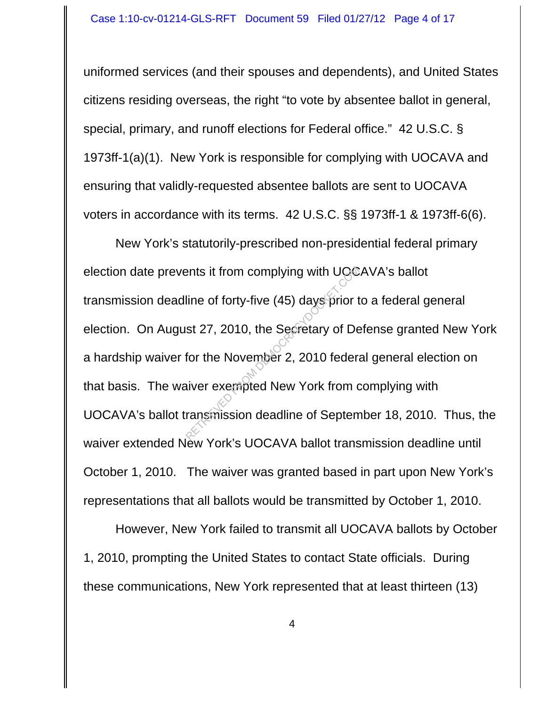uniformed services (and their spouses and dependents), and United States citizens residing overseas, the right "to vote by absentee ballot in general, special, primary, and runoff elections for Federal office." 42 U.S.C. § 1973ff-1(a)(1). New York is responsible for complying with UOCAVA and ensuring that validly-requested absentee ballots are sent to UOCAVA voters in accordance with its terms. 42 U.S.C. §§ 1973ff-1 & 1973ff-6(6).

New York's statutorily-prescribed non-presidential federal primary election date prevents it from complying with UOCAVA's ballot transmission deadline of forty-five (45) days prior to a federal general election. On August 27, 2010, the Secretary of Defense granted New York a hardship waiver for the November 2, 2010 federal general election on that basis. The waiver exempted New York from complying with UOCAVA's ballot transmission deadline of September 18, 2010. Thus, the waiver extended New York's UOCAVA ballot transmission deadline until October 1, 2010. The waiver was granted based in part upon New York's representations that all ballots would be transmitted by October 1, 2010. Prime of forty-five (45) days prior that 27, 2010, the Secretary of Democration of Democration Comment<br>of the November 2, 2010 federative rexempted New York from a ransmission deadline of Septem

However, New York failed to transmit all UOCAVA ballots by October 1, 2010, prompting the United States to contact State officials. During these communications, New York represented that at least thirteen (13)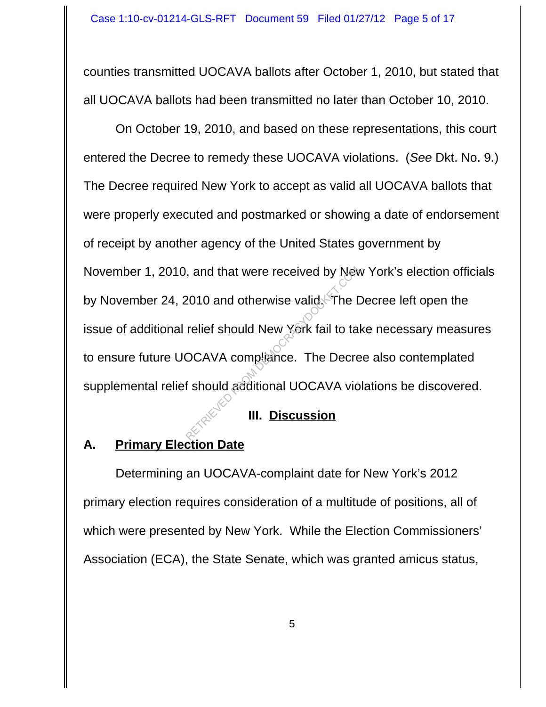counties transmitted UOCAVA ballots after October 1, 2010, but stated that all UOCAVA ballots had been transmitted no later than October 10, 2010.

On October 19, 2010, and based on these representations, this court entered the Decree to remedy these UOCAVA violations. (*See* Dkt. No. 9.) The Decree required New York to accept as valid all UOCAVA ballots that were properly executed and postmarked or showing a date of endorsement of receipt by another agency of the United States government by November 1, 2010, and that were received by New York's election officials by November 24, 2010 and otherwise valid. The Decree left open the issue of additional relief should New York fail to take necessary measures to ensure future UOCAVA compliance. The Decree also contemplated supplemental relief should additional UOCAVA violations be discovered. Retaining that were received by New 2010 and otherwise valid. The I<br>relief should New York fail to ta<br>OCAVA compliance. The Decre<br>of should additional UOCAVA vio

## **III. Discussion**

# **A. Primary Election Date**

Determining an UOCAVA-complaint date for New York's 2012 primary election requires consideration of a multitude of positions, all of which were presented by New York. While the Election Commissioners' Association (ECA), the State Senate, which was granted amicus status,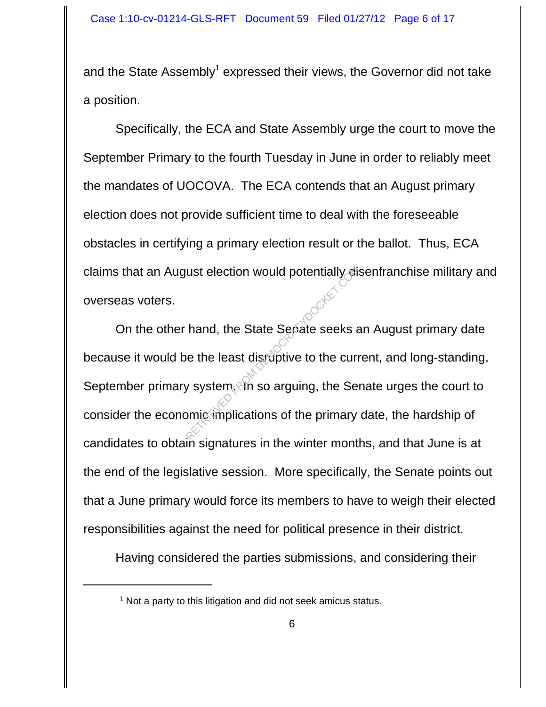and the State Assembly<sup>1</sup> expressed their views, the Governor did not take a position.

Specifically, the ECA and State Assembly urge the court to move the September Primary to the fourth Tuesday in June in order to reliably meet the mandates of UOCOVA. The ECA contends that an August primary election does not provide sufficient time to deal with the foreseeable obstacles in certifying a primary election result or the ballot. Thus, ECA claims that an August election would potentially disenfranchise military and overseas voters.

On the other hand, the State Senate seeks an August primary date because it would be the least disruptive to the current, and long-standing, September primary system. In so arguing, the Senate urges the court to consider the economic implications of the primary date, the hardship of candidates to obtain signatures in the winter months, and that June is at the end of the legislative session. More specifically, the Senate points out that a June primary would force its members to have to weigh their elected responsibilities against the need for political presence in their district. The State Sepate seeks and the State Sepate seeks are the least disruptive to the currently system. This is arguing, the Sepate seeks are uniquely system.

Having considered the parties submissions, and considering their

<sup>&</sup>lt;sup>1</sup> Not a party to this litigation and did not seek amicus status.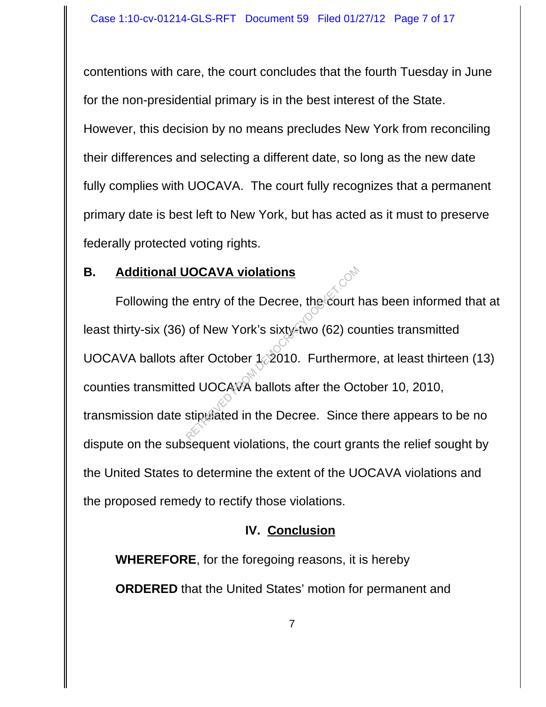contentions with care, the court concludes that the fourth Tuesday in June for the non-presidential primary is in the best interest of the State. However, this decision by no means precludes New York from reconciling their differences and selecting a different date, so long as the new date fully complies with UOCAVA. The court fully recognizes that a permanent primary date is best left to New York, but has acted as it must to preserve federally protected voting rights.

#### **B. Additional UOCAVA violations**

Following the entry of the Decree, the court has been informed that at least thirty-six (36) of New York's sixty-two (62) counties transmitted UOCAVA ballots after October 1, 2010. Furthermore, at least thirteen (13) counties transmitted UOCAVA ballots after the October 10, 2010, transmission date stipulated in the Decree. Since there appears to be no dispute on the subsequent violations, the court grants the relief sought by the United States to determine the extent of the UOCAVA violations and the proposed remedy to rectify those violations. **PERITRICAL SUBDISHED FROM DEATH OF SUBDISH CONTRIGHTS**<br>The Countries Sixty-two (62) contributed the October 1, 2010. Furtherment<br>and UOCAVA ballots after the October 3, 2010. Supported in the Decree. Since

## **IV. Conclusion**

**WHEREFORE**, for the foregoing reasons, it is hereby **ORDERED** that the United States' motion for permanent and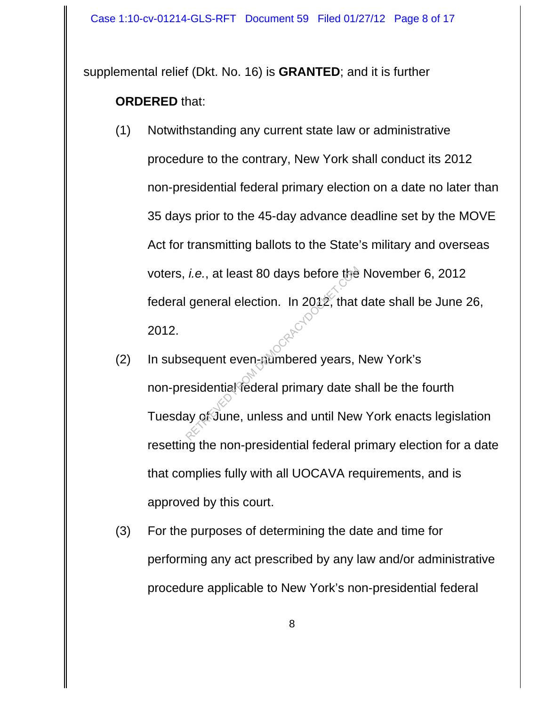supplemental relief (Dkt. No. 16) is **GRANTED**; and it is further

## **ORDERED** that:

- (1) Notwithstanding any current state law or administrative procedure to the contrary, New York shall conduct its 2012 non-presidential federal primary election on a date no later than 35 days prior to the 45-day advance deadline set by the MOVE Act for transmitting ballots to the State's military and overseas voters, *i.e.*, at least 80 days before the November 6, 2012 federal general election. In 2012, that date shall be June 26, 2012.
- (2) In subsequent even-numbered years, New York's non-presidential federal primary date shall be the fourth Tuesday of June, unless and until New York enacts legislation resetting the non-presidential federal primary election for a date that complies fully with all UOCAVA requirements, and is approved by this court. *i.e.*, at least 80 days before the<br>general election. In 2012, that<br>sequent even-aumbered years, lesidential federal primary date s<br>ay of June, unless and until New
- (3) For the purposes of determining the date and time for performing any act prescribed by any law and/or administrative procedure applicable to New York's non-presidential federal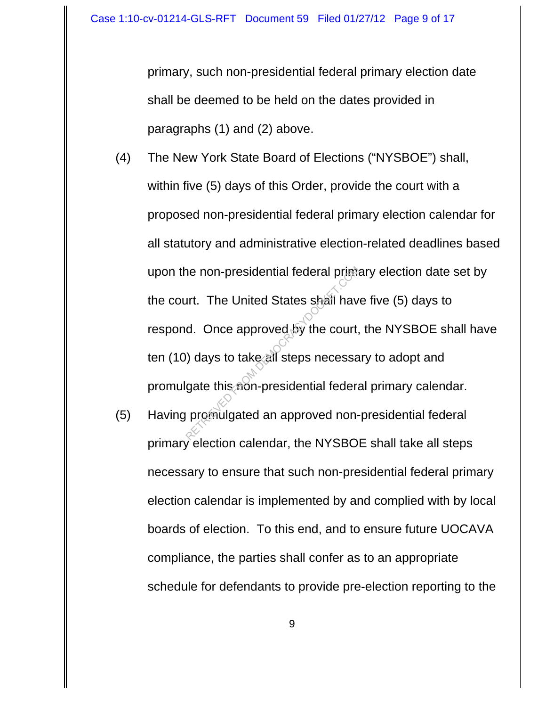primary, such non-presidential federal primary election date shall be deemed to be held on the dates provided in paragraphs (1) and (2) above.

- (4) The New York State Board of Elections ("NYSBOE") shall, within five (5) days of this Order, provide the court with a proposed non-presidential federal primary election calendar for all statutory and administrative election-related deadlines based upon the non-presidential federal primary election date set by the court. The United States shall have five (5) days to respond. Once approved by the court, the NYSBOE shall have ten (10) days to take all steps necessary to adopt and promulgate this non-presidential federal primary calendar. The United States shall have<br>approved by the court,<br>al. Once approved by the court,<br>all steps necessal<br>gate this from presidential federal<br>promulgated an approved non-
- (5) Having promulgated an approved non-presidential federal primary election calendar, the NYSBOE shall take all steps necessary to ensure that such non-presidential federal primary election calendar is implemented by and complied with by local boards of election. To this end, and to ensure future UOCAVA compliance, the parties shall confer as to an appropriate schedule for defendants to provide pre-election reporting to the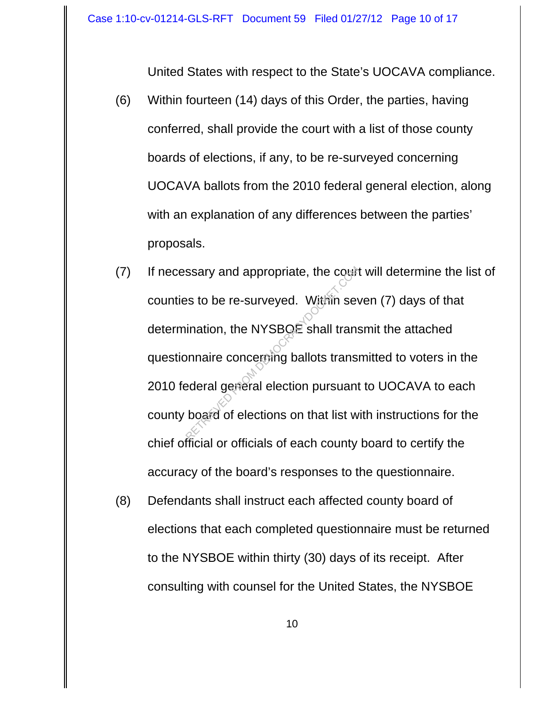United States with respect to the State's UOCAVA compliance.

- (6) Within fourteen (14) days of this Order, the parties, having conferred, shall provide the court with a list of those county boards of elections, if any, to be re-surveyed concerning UOCAVA ballots from the 2010 federal general election, along with an explanation of any differences between the parties' proposals.
- (7) If necessary and appropriate, the court will determine the list of counties to be re-surveyed. Within seven (7) days of that determination, the NYSBOE shall transmit the attached questionnaire concerning ballots transmitted to voters in the 2010 federal general election pursuant to UOCAVA to each county board of elections on that list with instructions for the chief official or officials of each county board to certify the accuracy of the board's responses to the questionnaire. Ssary and appropriate, the countries<br>in the RYSBOE shall transponenties concerning ballots transponenties<br>bederal general election pursuant<br>board of elections on that list w
- (8) Defendants shall instruct each affected county board of elections that each completed questionnaire must be returned to the NYSBOE within thirty (30) days of its receipt. After consulting with counsel for the United States, the NYSBOE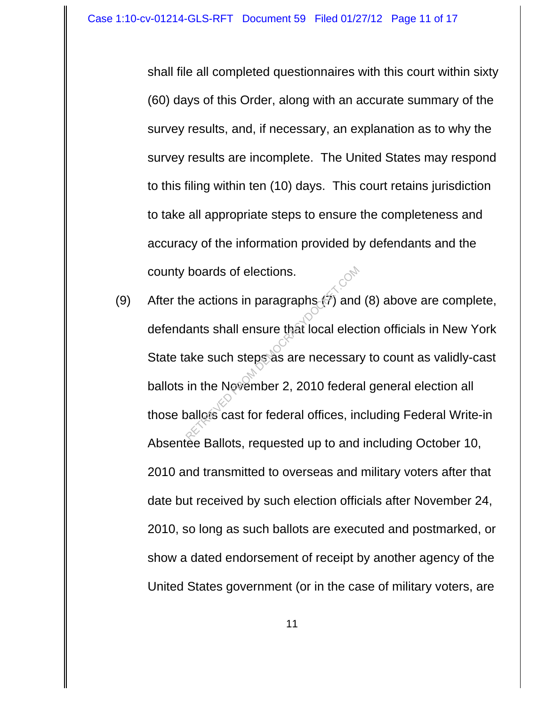shall file all completed questionnaires with this court within sixty (60) days of this Order, along with an accurate summary of the survey results, and, if necessary, an explanation as to why the survey results are incomplete. The United States may respond to this filing within ten (10) days. This court retains jurisdiction to take all appropriate steps to ensure the completeness and accuracy of the information provided by defendants and the county boards of elections.

(9) After the actions in paragraphs  $(\tilde{7})$  and (8) above are complete, defendants shall ensure that local election officials in New York State take such steps as are necessary to count as validly-cast ballots in the November 2, 2010 federal general election all those ballots cast for federal offices, including Federal Write-in Absentee Ballots, requested up to and including October 10, 2010 and transmitted to overseas and military voters after that date but received by such election officials after November 24, 2010, so long as such ballots are executed and postmarked, or show a dated endorsement of receipt by another agency of the United States government (or in the case of military voters, are boards of elections.<br>
Ne actions in paragraphs (7) and<br>
ants shall ensure that local elec<br>
ake such steps as are necessar<br>
in the November 2, 2010 federa<br>
pallots cast for federal offices, in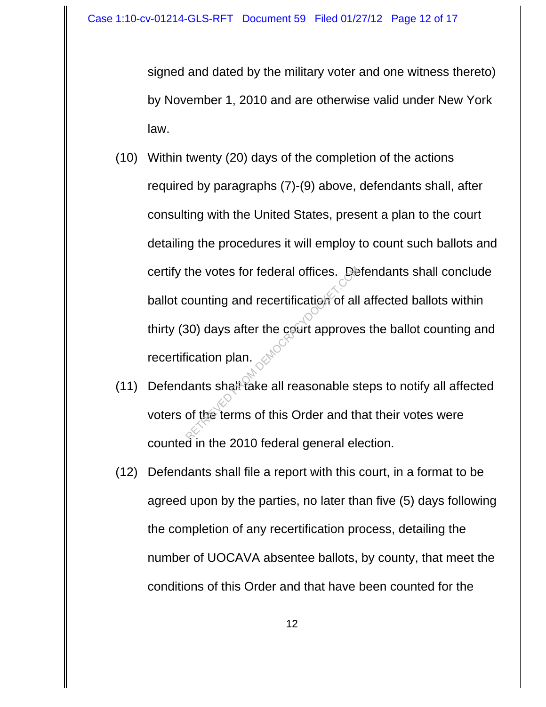signed and dated by the military voter and one witness thereto) by November 1, 2010 and are otherwise valid under New York law.

- (10) Within twenty (20) days of the completion of the actions required by paragraphs (7)-(9) above, defendants shall, after consulting with the United States, present a plan to the court detailing the procedures it will employ to count such ballots and certify the votes for federal offices. Defendants shall conclude ballot counting and recertification of all affected ballots within thirty (30) days after the court approves the ballot counting and recertification plan. the votes for federal offices.<br>
Solonting and recertification of all<br>
Resolution plan.<br>
Solontial reasonable solonting the terms of this Order and th
- (11) Defendants shall take all reasonable steps to notify all affected voters of the terms of this Order and that their votes were counted in the 2010 federal general election.
- (12) Defendants shall file a report with this court, in a format to be agreed upon by the parties, no later than five (5) days following the completion of any recertification process, detailing the number of UOCAVA absentee ballots, by county, that meet the conditions of this Order and that have been counted for the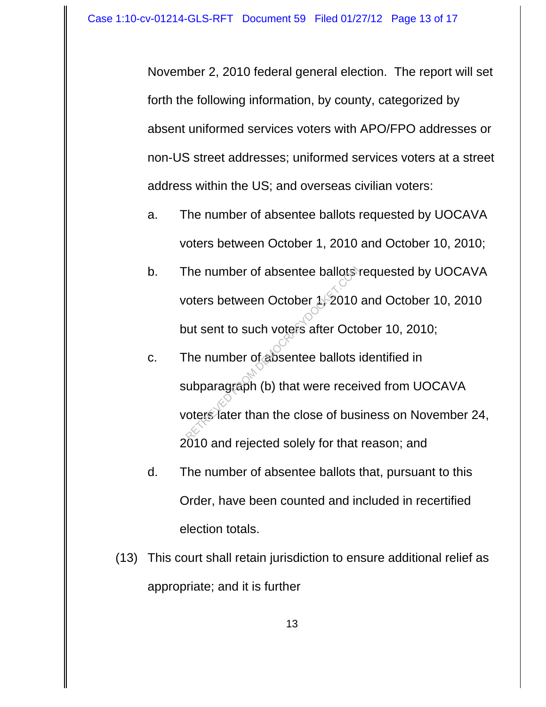November 2, 2010 federal general election. The report will set forth the following information, by county, categorized by absent uniformed services voters with APO/FPO addresses or non-US street addresses; uniformed services voters at a street address within the US; and overseas civilian voters:

- a. The number of absentee ballots requested by UOCAVA voters between October 1, 2010 and October 10, 2010;
- b. The number of absentee ballots requested by UOCAVA voters between October 1, 2010 and October 10, 2010 but sent to such voters after October 10, 2010;
- c. The number of absentee ballots identified in subparagraph (b) that were received from UOCAVA voters later than the close of business on November 24, 2010 and rejected solely for that reason; and The number of absentee ballots<br>
oters between October 1, 2010<br>
out sent to such voters after Octom<br>
The number of absentee ballots<br>
ubparagraph (b) that were received the sense of business after than the close of business
- d. The number of absentee ballots that, pursuant to this Order, have been counted and included in recertified election totals.
- (13) This court shall retain jurisdiction to ensure additional relief as appropriate; and it is further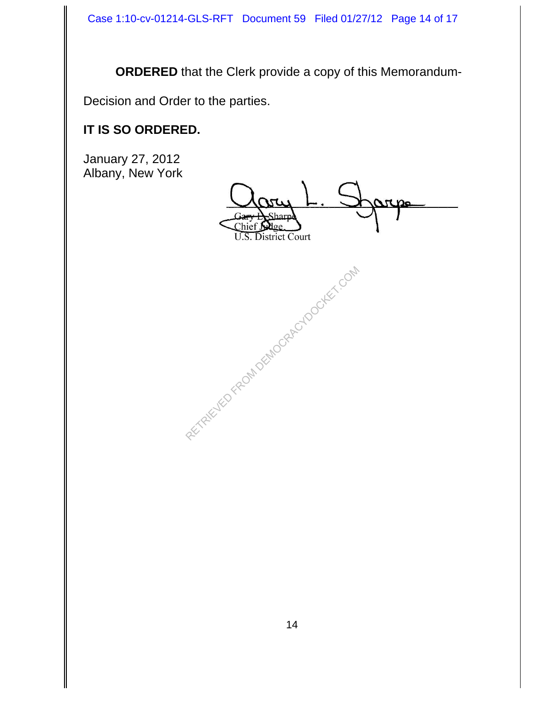**ORDERED** that the Clerk provide a copy of this Memorandum-

Decision and Order to the parties.

# **IT IS SO ORDERED.**

January 27, 2012 Albany, New York

Chief **U.S. District Court** 

RECTRICUTED FROM DEMOCRACYDOCKET.COM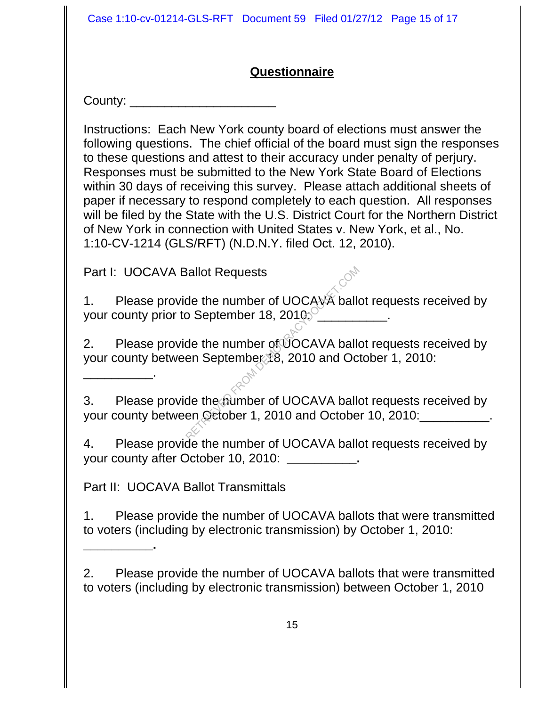Case 1:10-cv-01214-GLS-RFT Document 59 Filed 01/27/12 Page 15 of 17

# **Questionnaire**

County: \_\_\_\_\_\_\_\_\_\_\_\_\_\_\_\_\_

Instructions: Each New York county board of elections must answer the following questions. The chief official of the board must sign the responses to these questions and attest to their accuracy under penalty of perjury. Responses must be submitted to the New York State Board of Elections within 30 days of receiving this survey. Please attach additional sheets of paper if necessary to respond completely to each question. All responses will be filed by the State with the U.S. District Court for the Northern District of New York in connection with United States v. New York, et al., No. 1:10-CV-1214 (GLS/RFT) (N.D.N.Y. filed Oct. 12, 2010).

Part I: UOCAVA Ballot Requests

\_\_\_\_\_\_\_\_\_\_.

**\_\_\_\_\_\_\_\_\_\_.** 

1. Please provide the number of UOCAVA ballot requests received by your county prior to September 18,  $2010$ <sup>o</sup>

2. Please provide the number of UOCAVA ballot requests received by your county between September 18, 2010 and October 1, 2010:

3. Please provide the number of UOCAVA ballot requests received by your county between October 1, 2010 and October 10, 2010:<br> Requests<br>
de the number of UOCAVA ballocker<br>
de the number of UOCAVA ballocker<br>
de the number of UOCAVA ballocker<br>
de the number of UOCAVA ballocker<br>
de the number of UOCAVA ballocker<br>
de the number of UOCAVA ballocker<br>
de

4. Please provide the number of UOCAVA ballot requests received by your county after October 10, 2010: **\_\_\_\_\_\_\_\_\_\_.**

Part II: UOCAVA Ballot Transmittals

1. Please provide the number of UOCAVA ballots that were transmitted to voters (including by electronic transmission) by October 1, 2010:

2. Please provide the number of UOCAVA ballots that were transmitted to voters (including by electronic transmission) between October 1, 2010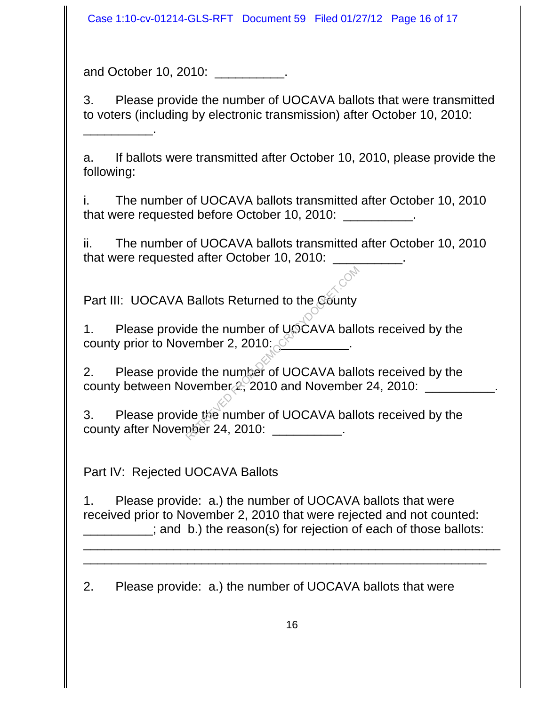Case 1:10-cv-01214-GLS-RFT Document 59 Filed 01/27/12 Page 16 of 17

and October 10, 2010: \_\_\_\_\_\_\_\_\_\_\_\_.

\_\_\_\_\_\_\_\_\_\_.

3. Please provide the number of UOCAVA ballots that were transmitted to voters (including by electronic transmission) after October 10, 2010:

a. If ballots were transmitted after October 10, 2010, please provide the following:

i. The number of UOCAVA ballots transmitted after October 10, 2010 that were requested before October 10, 2010: \_\_\_\_\_\_\_\_\_\_.

ii. The number of UOCAVA ballots transmitted after October 10, 2010 that were requested after October 10, 2010:

Part III: UOCAVA Ballots Returned to the County

1. Please provide the number of UOCAVA ballots received by the county prior to November 2, 2010:

2. Please provide the number of UOCAVA ballots received by the county between November  $2, 2010$  and November 24, 2010: Ballots Returned to the Gounty<br>de the number of UOCAVA ballow<br>wember 2, 2010:<br>de the number of UOCAVA ballow<br>ovember 2, 2010 and November<br>de the number of UOCAVA ballopper 24, 2010:

3. Please provide the number of UOCAVA ballots received by the county after November 24, 2010:

Part IV: Rejected UOCAVA Ballots

1. Please provide: a.) the number of UOCAVA ballots that were received prior to November 2, 2010 that were rejected and not counted: and b.) the reason(s) for rejection of each of those ballots:

\_\_\_\_\_\_\_\_\_\_\_\_\_\_\_\_\_\_\_\_\_\_\_\_\_\_\_\_\_\_\_\_\_\_\_\_\_\_\_\_\_\_\_\_\_\_\_\_\_\_\_\_\_\_\_\_\_\_\_\_ \_\_\_\_\_\_\_\_\_\_\_\_\_\_\_\_\_\_\_\_\_\_\_\_\_\_\_\_\_\_\_\_\_\_\_\_\_\_\_\_\_\_\_\_\_\_\_\_\_\_\_\_\_\_\_\_\_\_

2. Please provide: a.) the number of UOCAVA ballots that were